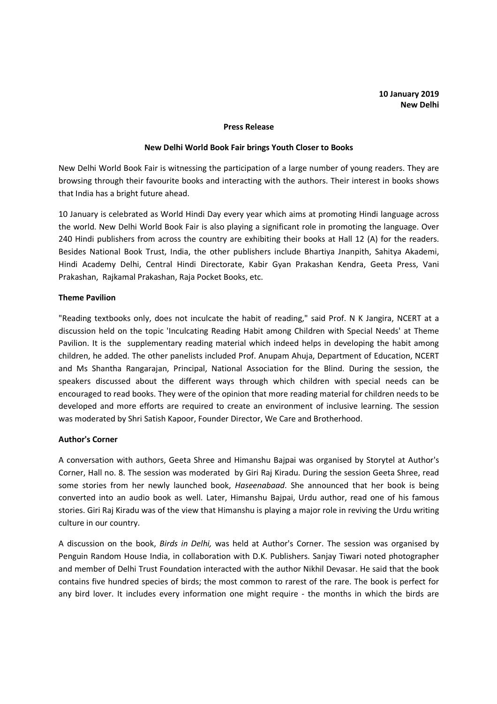#### **Press Release**

#### **New Delhi World Book Fair brings Youth Closer to Books**

New Delhi World Book Fair is witnessing the participation of a large number of young readers. They are browsing through their favourite books and interacting with the authors. Their interest in books shows that India has a bright future ahead.

10 January is celebrated as World Hindi Day every year which aims at promoting Hindi language across the world. New Delhi World Book Fair is also playing a significant role in promoting the language. Over 240 Hindi publishers from across the country are exhibiting their books at Hall 12 (A) for the readers. Besides National Book Trust, India, the other publishers include Bhartiya Jnanpith, Sahitya Akademi, Hindi Academy Delhi, Central Hindi Directorate, Kabir Gyan Prakashan Kendra, Geeta Press, Vani Prakashan, Rajkamal Prakashan, Raja Pocket Books, etc.

## **Theme Pavilion**

"Reading textbooks only, does not inculcate the habit of reading," said Prof. N K Jangira, NCERT at a discussion held on the topic 'Inculcating Reading Habit among Children with Special Needs' at Theme Pavilion. It is the supplementary reading material which indeed helps in developing the habit among children, he added. The other panelists included Prof. Anupam Ahuja, Department of Education, NCERT and Ms Shantha Rangarajan, Principal, National Association for the Blind. During the session, the speakers discussed about the different ways through which children with special needs can be encouraged to read books. They were of the opinion that more reading material for children needs to be developed and more efforts are required to create an environment of inclusive learning. The session was moderated by Shri Satish Kapoor, Founder Director, We Care and Brotherhood.

## **Author's Corner**

A conversation with authors, Geeta Shree and Himanshu Bajpai was organised by Storytel at Author's Corner, Hall no. 8. The session was moderated by Giri Raj Kiradu. During the session Geeta Shree, read some stories from her newly launched book, *Haseenabaad*. She announced that her book is being converted into an audio book as well. Later, Himanshu Bajpai, Urdu author, read one of his famous stories. Giri Raj Kiradu was of the view that Himanshu is playing a major role in reviving the Urdu writing culture in our country.

A discussion on the book, *Birds in Delhi,* was held at Author's Corner. The session was organised by Penguin Random House India, in collaboration with D.K. Publishers. Sanjay Tiwari noted photographer and member of Delhi Trust Foundation interacted with the author Nikhil Devasar. He said that the book contains five hundred species of birds; the most common to rarest of the rare. The book is perfect for any bird lover. It includes every information one might require - the months in which the birds are